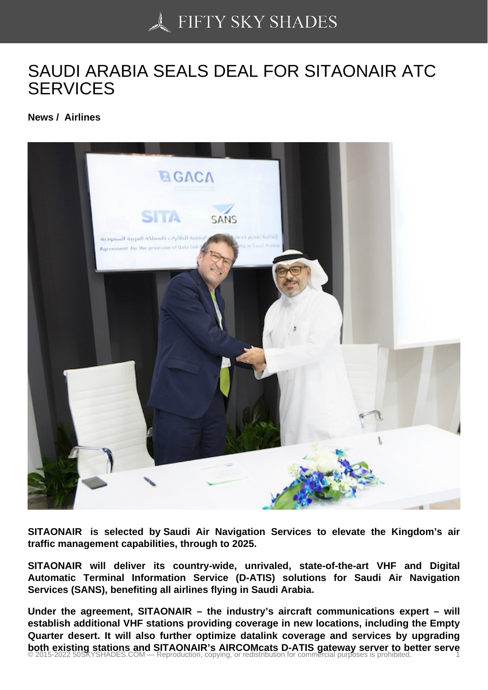## [SAUDI ARABIA SEALS](https://50skyshades.com) DEAL FOR SITAONAIR ATC **SERVICES**

News / Airlines

SITAONAIR is selected by Saudi Air Navigation Services to elevate the Kingdom's air traffic management capabilities, through to 2025.

SITAONAIR will deliver its country-wide, unrivaled, state-of-the-art VHF and Digital Automatic Terminal Information Service (D-ATIS) solutions for Saudi Air Navigation Services (SANS), benefiting all airlines flying in Saudi Arabia.

Under the agreement, SITAONAIR – the industry's aircraft communications expert – will establish additional VHF stations providing coverage in new locations, including the Empty Quarter desert. It will also further optimize datalink coverage and services by upgrading both existing stations and SITAONAIR's AIRCOMcats D-ATIS gateway server to better serve<br>© 2015-2022 50SKYSHADES.COM — Reproduction, copying, or redistribution for commercial purposes is prohibited.